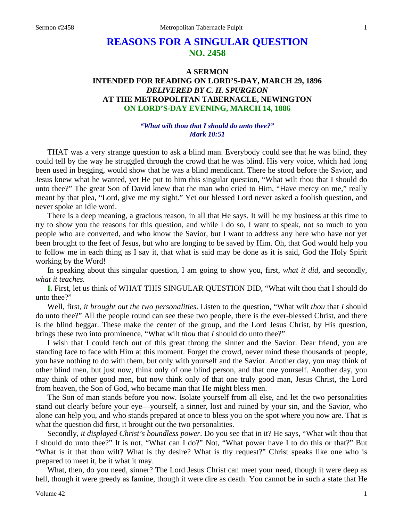# **REASONS FOR A SINGULAR QUESTION NO. 2458**

# **A SERMON INTENDED FOR READING ON LORD'S-DAY, MARCH 29, 1896**  *DELIVERED BY C. H. SPURGEON*  **AT THE METROPOLITAN TABERNACLE, NEWINGTON ON LORD'S-DAY EVENING, MARCH 14, 1886**

#### *"What wilt thou that I should do unto thee?" Mark 10:51*

THAT was a very strange question to ask a blind man. Everybody could see that he was blind, they could tell by the way he struggled through the crowd that he was blind. His very voice, which had long been used in begging, would show that he was a blind mendicant. There he stood before the Savior, and Jesus knew what he wanted, yet He put to him this singular question, "What wilt thou that I should do unto thee?" The great Son of David knew that the man who cried to Him, "Have mercy on me," really meant by that plea, "Lord, give me my sight." Yet our blessed Lord never asked a foolish question, and never spoke an idle word.

There is a deep meaning, a gracious reason, in all that He says. It will be my business at this time to try to show you the reasons for this question, and while I do so, I want to speak, not so much to you people who are converted, and who know the Savior, but I want to address any here who have not yet been brought to the feet of Jesus, but who are longing to be saved by Him. Oh, that God would help you to follow me in each thing as I say it, that what is said may be done as it is said, God the Holy Spirit working by the Word!

In speaking about this singular question, I am going to show you, first, *what it did,* and secondly, *what it teaches.* 

**I.** First, let us think of WHAT THIS SINGULAR QUESTION DID, "What wilt thou that I should do unto thee?"

Well, first, *it brought out the two personalities*. Listen to the question, "What wilt *thou* that *I* should do unto thee?" All the people round can see these two people, there is the ever-blessed Christ, and there is the blind beggar. These make the center of the group, and the Lord Jesus Christ, by His question, brings these two into prominence, "What wilt *thou* that *I* should do unto thee?"

I wish that I could fetch out of this great throng the sinner and the Savior. Dear friend, you are standing face to face with Him at this moment. Forget the crowd, never mind these thousands of people, you have nothing to do with them, but only with yourself and the Savior. Another day, you may think of other blind men, but just now, think only of one blind person, and that one yourself. Another day, you may think of other good men, but now think only of that one truly good man, Jesus Christ, the Lord from heaven, the Son of God, who became man that He might bless men.

The Son of man stands before you now. Isolate yourself from all else, and let the two personalities stand out clearly before your eye—yourself, a sinner, lost and ruined by your sin, and the Savior, who alone can help you, and who stands prepared at once to bless you on the spot where you now are. That is what the question did first, it brought out the two personalities.

Secondly, *it displayed Christ's boundless power*. Do you see that in it? He says, "What wilt thou that I should do unto thee?" It is not, "What can I do?" Not, "What power have I to do this or that?" But "What is it that thou wilt? What is thy desire? What is thy request?" Christ speaks like one who is prepared to meet it, be it what it may.

What, then, do you need, sinner? The Lord Jesus Christ can meet your need, though it were deep as hell, though it were greedy as famine, though it were dire as death. You cannot be in such a state that He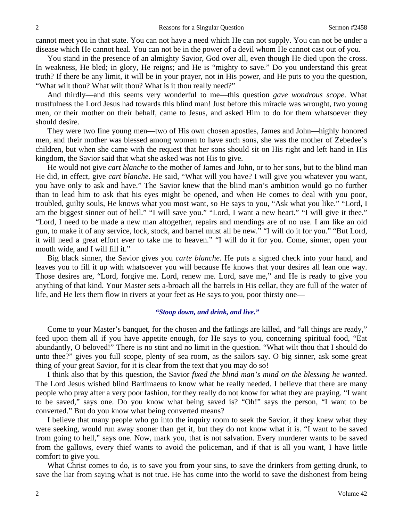cannot meet you in that state. You can not have a need which He can not supply. You can not be under a disease which He cannot heal. You can not be in the power of a devil whom He cannot cast out of you.

You stand in the presence of an almighty Savior, God over all, even though He died upon the cross. In weakness, He bled; in glory, He reigns; and He is "mighty to save." Do you understand this great truth? If there be any limit, it will be in your prayer, not in His power, and He puts to you the question, "What wilt thou? What wilt thou? What is it thou really need?"

And thirdly—and this seems very wonderful to me—this question *gave wondrous scope*. What trustfulness the Lord Jesus had towards this blind man! Just before this miracle was wrought, two young men, or their mother on their behalf, came to Jesus, and asked Him to do for them whatsoever they should desire.

They were two fine young men—two of His own chosen apostles, James and John—highly honored men, and their mother was blessed among women to have such sons, she was the mother of Zebedee's children, but when she came with the request that her sons should sit on His right and left hand in His kingdom, the Savior said that what she asked was not His to give.

He would not give *cart blanche* to the mother of James and John, or to her sons, but to the blind man He did, in effect, give *cart blanche*. He said, "What will you have? I will give you whatever you want, you have only to ask and have." The Savior knew that the blind man's ambition would go no further than to lead him to ask that his eyes might be opened, and when He comes to deal with you poor, troubled, guilty souls, He knows what you most want, so He says to you, "Ask what you like." "Lord, I am the biggest sinner out of hell." "I will save you." "Lord, I want a new heart." "I will give it thee." "Lord, I need to be made a new man altogether, repairs and mendings are of no use. I am like an old gun, to make it of any service, lock, stock, and barrel must all be new." "I will do it for you." "But Lord, it will need a great effort ever to take me to heaven." "I will do it for you. Come, sinner, open your mouth wide, and I will fill it."

Big black sinner, the Savior gives you *carte blanche*. He puts a signed check into your hand, and leaves you to fill it up with whatsoever you will because He knows that your desires all lean one way. Those desires are, "Lord, forgive me. Lord, renew me. Lord, save me," and He is ready to give you anything of that kind. Your Master sets a-broach all the barrels in His cellar, they are full of the water of life, and He lets them flow in rivers at your feet as He says to you, poor thirsty one—

#### *"Stoop down, and drink, and live."*

Come to your Master's banquet, for the chosen and the fatlings are killed, and "all things are ready," feed upon them all if you have appetite enough, for He says to you, concerning spiritual food, "Eat abundantly, O beloved!" There is no stint and no limit in the question. "What wilt thou that I should do unto thee?" gives you full scope, plenty of sea room, as the sailors say. O big sinner, ask some great thing of your great Savior, for it is clear from the text that you may do so!

I think also that by this question, the Savior *fixed the blind man's mind on the blessing he wanted*. The Lord Jesus wished blind Bartimaeus to know what he really needed. I believe that there are many people who pray after a very poor fashion, for they really do not know for what they are praying. "I want to be saved," says one. Do you know what being saved is? "Oh!" says the person, "I want to be converted." But do you know what being converted means?

I believe that many people who go into the inquiry room to seek the Savior, if they knew what they were seeking, would run away sooner than get it, but they do not know what it is. "I want to be saved from going to hell," says one. Now, mark you, that is not salvation. Every murderer wants to be saved from the gallows, every thief wants to avoid the policeman, and if that is all you want, I have little comfort to give you.

What Christ comes to do, is to save you from your sins, to save the drinkers from getting drunk, to save the liar from saying what is not true. He has come into the world to save the dishonest from being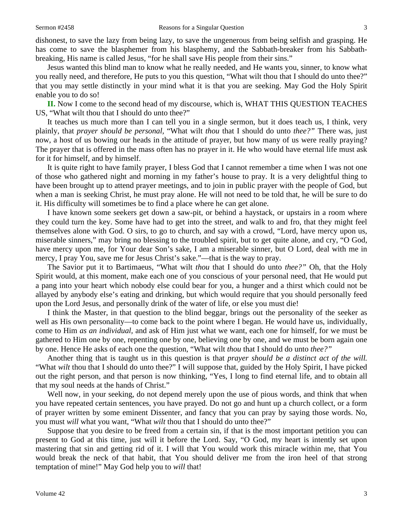dishonest, to save the lazy from being lazy, to save the ungenerous from being selfish and grasping. He has come to save the blasphemer from his blasphemy, and the Sabbath-breaker from his Sabbathbreaking, His name is called Jesus, "for he shall save His people from their sins."

Jesus wanted this blind man to know what he really needed, and He wants you, sinner, to know what you really need, and therefore, He puts to you this question, "What wilt thou that I should do unto thee?" that you may settle distinctly in your mind what it is that you are seeking. May God the Holy Spirit enable you to do so!

**II.** Now I come to the second head of my discourse, which is, WHAT THIS QUESTION TEACHES US, "What wilt thou that I should do unto thee?"

It teaches us much more than I can tell you in a single sermon, but it does teach us, I think, very plainly, that *prayer should be personal,* "What wilt *thou* that I should do unto *thee?"* There was, just now, a host of us bowing our heads in the attitude of prayer, but how many of us were really praying? The prayer that is offered in the mass often has no prayer in it. He who would have eternal life must ask for it for himself, and by himself.

It is quite right to have family prayer, I bless God that I cannot remember a time when I was not one of those who gathered night and morning in my father's house to pray. It is a very delightful thing to have been brought up to attend prayer meetings, and to join in public prayer with the people of God, but when a man is seeking Christ, he must pray alone. He will not need to be told that, he will be sure to do it. His difficulty will sometimes be to find a place where he can get alone.

I have known some seekers get down a saw-pit, or behind a haystack, or upstairs in a room where they could turn the key. Some have had to get into the street, and walk to and fro, that they might feel themselves alone with God. O sirs, to go to church, and say with a crowd, "Lord, have mercy upon us, miserable sinners," may bring no blessing to the troubled spirit, but to get quite alone, and cry, "O God, have mercy upon me, for Your dear Son's sake, I am a miserable sinner, but O Lord, deal with me in mercy, I pray You, save me for Jesus Christ's sake."—that is the way to pray.

The Savior put it to Bartimaeus, "What wilt *thou* that I should do unto *thee?"* Oh, that the Holy Spirit would, at this moment, make each one of you conscious of your personal need, that He would put a pang into your heart which nobody else could bear for you, a hunger and a thirst which could not be allayed by anybody else's eating and drinking, but which would require that you should personally feed upon the Lord Jesus, and personally drink of the water of life, or else you must die!

I think the Master, in that question to the blind beggar, brings out the personality of the seeker as well as His own personality—to come back to the point where I began. He would have us, individually, come to Him *as an individual,* and ask of Him just what we want, each one for himself, for we must be gathered to Him one by one, repenting one by one, believing one by one, and we must be born again one by one. Hence He asks of each one the question, "What wilt *thou* that I should do unto *thee?"* 

Another thing that is taught us in this question is that *prayer should be a distinct act of the will.* "What *wilt* thou that I should do unto thee?" I will suppose that, guided by the Holy Spirit, I have picked out the right person, and that person is now thinking, "Yes, I long to find eternal life, and to obtain all that my soul needs at the hands of Christ."

Well now, in your seeking, do not depend merely upon the use of pious words, and think that when you have repeated certain sentences, you have prayed. Do not go and hunt up a church collect, or a form of prayer written by some eminent Dissenter, and fancy that you can pray by saying those words. No, you must *will* what you want, "What *wilt* thou that I should do unto thee?"

Suppose that you desire to be freed from a certain sin, if that is the most important petition you can present to God at this time, just will it before the Lord. Say, "O God, my heart is intently set upon mastering that sin and getting rid of it. I will that You would work this miracle within me, that You would break the neck of that habit, that You should deliver me from the iron heel of that strong temptation of mine!" May God help you to *will* that!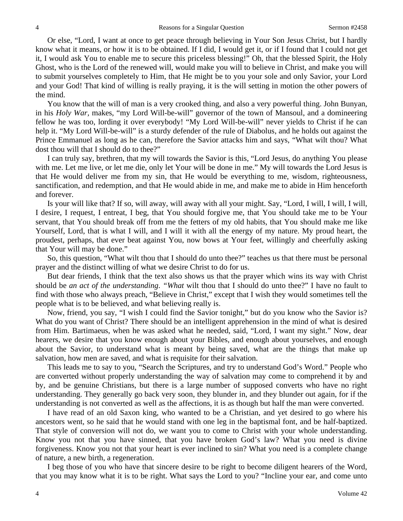Or else, "Lord, I want at once to get peace through believing in Your Son Jesus Christ, but I hardly know what it means, or how it is to be obtained. If I did, I would get it, or if I found that I could not get it, I would ask You to enable me to secure this priceless blessing!" Oh, that the blessed Spirit, the Holy Ghost, who is the Lord of the renewed will, would make you will to believe in Christ, and make you will to submit yourselves completely to Him, that He might be to you your sole and only Savior, your Lord and your God! That kind of willing is really praying, it is the will setting in motion the other powers of the mind.

You know that the will of man is a very crooked thing, and also a very powerful thing. John Bunyan, in his *Holy War,* makes, "my Lord Will-be-will" governor of the town of Mansoul, and a domineering fellow he was too, lording it over everybody! "My Lord Will-be-will" never yields to Christ if he can help it. "My Lord Will-be-will" is a sturdy defender of the rule of Diabolus, and he holds out against the Prince Emmanuel as long as he can, therefore the Savior attacks him and says, "What wilt thou? What dost thou will that I should do to thee?"

I can truly say, brethren, that my will towards the Savior is this, "Lord Jesus, do anything You please with me. Let me live, or let me die, only let Your will be done in me." My will towards the Lord Jesus is that He would deliver me from my sin, that He would be everything to me, wisdom, righteousness, sanctification, and redemption, and that He would abide in me, and make me to abide in Him henceforth and forever.

Is your will like that? If so, will away, will away with all your might. Say, "Lord, I will, I will, I will, I desire, I request, I entreat, I beg, that You should forgive me, that You should take me to be Your servant, that You should break off from me the fetters of my old habits, that You should make me like Yourself, Lord, that is what I will, and I will it with all the energy of my nature. My proud heart, the proudest, perhaps, that ever beat against You, now bows at Your feet, willingly and cheerfully asking that Your will may be done."

So, this question, "What wilt thou that I should do unto thee?" teaches us that there must be personal prayer and the distinct willing of what we desire Christ to do for us.

But dear friends, I think that the text also shows us that the prayer which wins its way with Christ should be *an act of the understanding*. *"What* wilt thou that I should do unto thee?" I have no fault to find with those who always preach, "Believe in Christ," except that I wish they would sometimes tell the people what is to be believed, and what believing really is.

Now, friend, you say, "I wish I could find the Savior tonight," but do you know who the Savior is? What do you want of Christ? There should be an intelligent apprehension in the mind of what is desired from Him. Bartimaeus, when he was asked what he needed, said, "Lord, I want my sight." Now, dear hearers, we desire that you know enough about your Bibles, and enough about yourselves, and enough about the Savior, to understand what is meant by being saved, what are the things that make up salvation, how men are saved, and what is requisite for their salvation.

This leads me to say to you, "Search the Scriptures, and try to understand God's Word." People who are converted without properly understanding the way of salvation may come to comprehend it by and by, and be genuine Christians, but there is a large number of supposed converts who have no right understanding. They generally go back very soon, they blunder in, and they blunder out again, for if the understanding is not converted as well as the affections, it is as though but half the man were converted.

I have read of an old Saxon king, who wanted to be a Christian, and yet desired to go where his ancestors went, so he said that he would stand with one leg in the baptismal font, and be half-baptized. That style of conversion will not do, we want you to come to Christ with your whole understanding. Know you not that you have sinned, that you have broken God's law? What you need is divine forgiveness. Know you not that your heart is ever inclined to sin? What you need is a complete change of nature, a new birth, a regeneration.

I beg those of you who have that sincere desire to be right to become diligent hearers of the Word, that you may know what it is to be right. What says the Lord to you? "Incline your ear, and come unto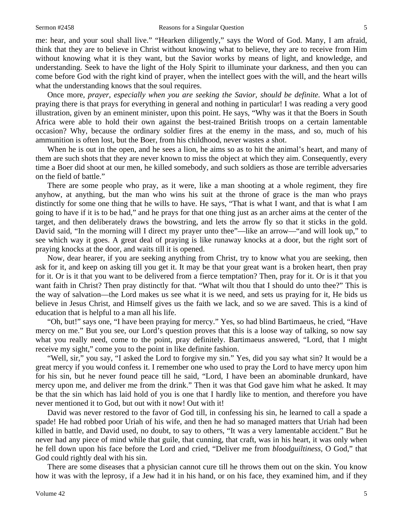me: hear, and your soul shall live." "Hearken diligently," says the Word of God. Many, I am afraid, think that they are to believe in Christ without knowing what to believe, they are to receive from Him without knowing what it is they want, but the Savior works by means of light, and knowledge, and understanding. Seek to have the light of the Holy Spirit to illuminate your darkness, and then you can come before God with the right kind of prayer, when the intellect goes with the will, and the heart wills what the understanding knows that the soul requires.

Once more, *prayer, especially when you are seeking the Savior, should be definite*. What a lot of praying there is that prays for everything in general and nothing in particular! I was reading a very good illustration, given by an eminent minister, upon this point. He says, "Why was it that the Boers in South Africa were able to hold their own against the best-trained British troops on a certain lamentable occasion? Why, because the ordinary soldier fires at the enemy in the mass, and so, much of his ammunition is often lost, but the Boer, from his childhood, never wastes a shot.

When he is out in the open, and he sees a lion, he aims so as to hit the animal's heart, and many of them are such shots that they are never known to miss the object at which they aim. Consequently, every time a Boer did shoot at our men, he killed somebody, and such soldiers as those are terrible adversaries on the field of battle."

There are some people who pray, as it were, like a man shooting at a whole regiment, they fire anyhow, at anything, but the man who wins his suit at the throne of grace is the man who prays distinctly for some one thing that he wills to have. He says, "That is what I want, and that is what I am going to have if it is to be had," and he prays for that one thing just as an archer aims at the center of the target, and then deliberately draws the bowstring, and lets the arrow fly so that it sticks in the gold. David said, "In the morning will I direct my prayer unto thee"—like an arrow—"and will look up," to see which way it goes. A great deal of praying is like runaway knocks at a door, but the right sort of praying knocks at the door, and waits till it is opened.

Now, dear hearer, if you are seeking anything from Christ, try to know what you are seeking, then ask for it, and keep on asking till you get it. It may be that your great want is a broken heart, then pray for it. Or is it that you want to be delivered from a fierce temptation? Then, pray for it. Or is it that you want faith in Christ? Then pray distinctly for that. "What wilt thou that I should do unto thee?" This is the way of salvation—the Lord makes us see what it is we need, and sets us praying for it, He bids us believe in Jesus Christ, and Himself gives us the faith we lack, and so we are saved. This is a kind of education that is helpful to a man all his life.

"Oh, but!" says one, "I have been praying for mercy." Yes, so had blind Bartimaeus, he cried, "Have mercy on me." But you see, our Lord's question proves that this is a loose way of talking, so now say what you really need, come to the point, pray definitely. Bartimaeus answered, "Lord, that I might receive my sight," come you to the point in like definite fashion.

"Well, sir," you say, "I asked the Lord to forgive my sin." Yes, did you say what sin? It would be a great mercy if you would confess it. I remember one who used to pray the Lord to have mercy upon him for his sin, but he never found peace till he said, "Lord, I have been an abominable drunkard, have mercy upon me, and deliver me from the drink." Then it was that God gave him what he asked. It may be that the sin which has laid hold of you is one that I hardly like to mention, and therefore you have never mentioned it to God, but out with it now! Out with it!

David was never restored to the favor of God till, in confessing his sin, he learned to call a spade a spade! He had robbed poor Uriah of his wife, and then he had so managed matters that Uriah had been killed in battle, and David used, no doubt, to say to others, "It was a very lamentable accident." But he never had any piece of mind while that guile, that cunning, that craft, was in his heart, it was only when he fell down upon his face before the Lord and cried, "Deliver me from *bloodguiltiness*, O God," that God could rightly deal with his sin.

There are some diseases that a physician cannot cure till he throws them out on the skin. You know how it was with the leprosy, if a Jew had it in his hand, or on his face, they examined him, and if they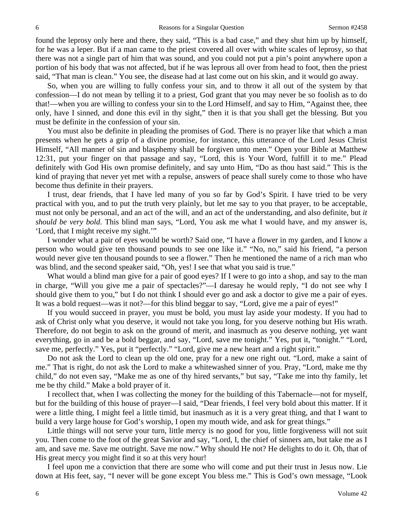found the leprosy only here and there, they said, "This is a bad case," and they shut him up by himself, for he was a leper. But if a man came to the priest covered all over with white scales of leprosy, so that there was not a single part of him that was sound, and you could not put a pin's point anywhere upon a portion of his body that was not affected, but if he was leprous all over from head to foot, then the priest said, "That man is clean." You see, the disease had at last come out on his skin, and it would go away.

So, when you are willing to fully confess your sin, and to throw it all out of the system by that confession—I do not mean by telling it to a priest, God grant that you may never be so foolish as to do that!—when you are willing to confess your sin to the Lord Himself, and say to Him, "Against thee, thee only, have I sinned, and done this evil in thy sight," then it is that you shall get the blessing. But you must be definite in the confession of your sin.

You must also be definite in pleading the promises of God. There is no prayer like that which a man presents when he gets a grip of a divine promise, for instance, this utterance of the Lord Jesus Christ Himself, "All manner of sin and blasphemy shall be forgiven unto men." Open your Bible at Matthew 12:31, put your finger on that passage and say, "Lord, this is Your Word, fulfill it to me." Plead definitely with God His own promise definitely, and say unto Him, "Do as thou hast said." This is the kind of praying that never yet met with a repulse, answers of peace shall surely come to those who have become thus definite in their prayers.

I trust, dear friends, that I have led many of you so far by God's Spirit. I have tried to be very practical with you, and to put the truth very plainly, but let me say to you that prayer, to be acceptable, must not only be personal, and an act of the will, and an act of the understanding, and also definite, but *it should be very bold*. This blind man says, "Lord, You ask me what I would have, and my answer is, 'Lord, that I might receive my sight.'"

I wonder what a pair of eyes would be worth? Said one, "I have a flower in my garden, and I know a person who would give ten thousand pounds to see one like it." "No, no," said his friend, "a person would never give ten thousand pounds to see a flower." Then he mentioned the name of a rich man who was blind, and the second speaker said, "Oh, yes! I see that what you said is true."

What would a blind man give for a pair of good eyes? If I were to go into a shop, and say to the man in charge, "Will you give me a pair of spectacles?"—I daresay he would reply, "I do not see why I should give them to you," but I do not think I should ever go and ask a doctor to give me a pair of eyes. It was a bold request—was it not?—for this blind beggar to say, "Lord, give me a pair of eyes!"

If you would succeed in prayer, you must be bold, you must lay aside your modesty. If you had to ask of Christ only what you deserve, it would not take you long, for you deserve nothing but His wrath. Therefore, do not begin to ask on the ground of merit, and inasmuch as you deserve nothing, yet want everything, go in and be a bold beggar, and say, "Lord, save me tonight." Yes, put it, "tonight." "Lord, save me, perfectly." Yes, put it "perfectly." "Lord, give me a new heart and a right spirit."

Do not ask the Lord to clean up the old one, pray for a new one right out. "Lord, make a saint of me." That is right, do not ask the Lord to make a whitewashed sinner of you. Pray, "Lord, make me thy child," do not even say, "Make me as one of thy hired servants," but say, "Take me into thy family, let me be thy child." Make a bold prayer of it.

I recollect that, when I was collecting the money for the building of this Tabernacle—not for myself, but for the building of this house of prayer—I said, "Dear friends, I feel very bold about this matter. If it were a little thing, I might feel a little timid, but inasmuch as it is a very great thing, and that I want to build a very large house for God's worship, I open my mouth wide, and ask for great things."

Little things will not serve your turn, little mercy is no good for you, little forgiveness will not suit you. Then come to the foot of the great Savior and say, "Lord, I, the chief of sinners am, but take me as I am, and save me. Save me outright. Save me now." Why should He not? He delights to do it. Oh, that of His great mercy you might find it so at this very hour!

I feel upon me a conviction that there are some who will come and put their trust in Jesus now. Lie down at His feet, say, "I never will be gone except You bless me." This is God's own message, "Look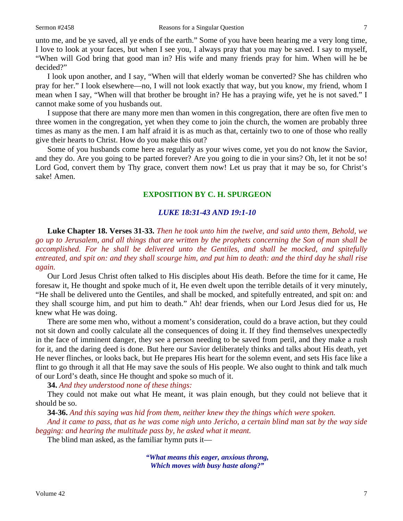unto me, and be ye saved, all ye ends of the earth." Some of you have been hearing me a very long time, I love to look at your faces, but when I see you, I always pray that you may be saved. I say to myself, "When will God bring that good man in? His wife and many friends pray for him. When will he be decided?"

I look upon another, and I say, "When will that elderly woman be converted? She has children who pray for her." I look elsewhere—no, I will not look exactly that way, but you know, my friend, whom I mean when I say, "When will that brother be brought in? He has a praying wife, yet he is not saved." I cannot make some of you husbands out.

I suppose that there are many more men than women in this congregation, there are often five men to three women in the congregation, yet when they come to join the church, the women are probably three times as many as the men. I am half afraid it is as much as that, certainly two to one of those who really give their hearts to Christ. How do you make this out?

Some of you husbands come here as regularly as your wives come, yet you do not know the Savior, and they do. Are you going to be parted forever? Are you going to die in your sins? Oh, let it not be so! Lord God, convert them by Thy grace, convert them now! Let us pray that it may be so, for Christ's sake! Amen.

#### **EXPOSITION BY C. H. SPURGEON**

#### *LUKE 18:31-43 AND 19:1-10*

**Luke Chapter 18. Verses 31-33.** *Then he took unto him the twelve, and said unto them, Behold, we go up to Jerusalem, and all things that are written by the prophets concerning the Son of man shall be accomplished. For he shall be delivered unto the Gentiles, and shall be mocked, and spitefully entreated, and spit on: and they shall scourge him, and put him to death: and the third day he shall rise again.*

Our Lord Jesus Christ often talked to His disciples about His death. Before the time for it came, He foresaw it, He thought and spoke much of it, He even dwelt upon the terrible details of it very minutely, "He shall be delivered unto the Gentiles, and shall be mocked, and spitefully entreated, and spit on: and they shall scourge him, and put him to death." Ah! dear friends, when our Lord Jesus died for us, He knew what He was doing.

There are some men who, without a moment's consideration, could do a brave action, but they could not sit down and coolly calculate all the consequences of doing it. If they find themselves unexpectedly in the face of imminent danger, they see a person needing to be saved from peril, and they make a rush for it, and the daring deed is done. But here our Savior deliberately thinks and talks about His death, yet He never flinches, or looks back, but He prepares His heart for the solemn event, and sets His face like a flint to go through it all that He may save the souls of His people. We also ought to think and talk much of our Lord's death, since He thought and spoke so much of it.

**34.** *And they understood none of these things:*

They could not make out what He meant, it was plain enough, but they could not believe that it should be so.

**34-36.** *And this saying was hid from them, neither knew they the things which were spoken.* 

*And it came to pass, that as he was come nigh unto Jericho, a certain blind man sat by the way side begging: and hearing the multitude pass by, he asked what it meant.*

The blind man asked, as the familiar hymn puts it—

*"What means this eager, anxious throng, Which moves with busy haste along?"*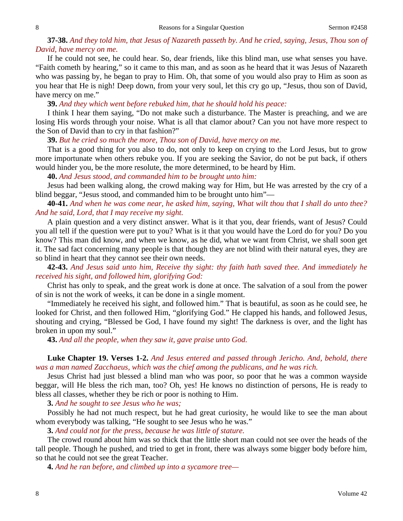## **37-38.** *And they told him, that Jesus of Nazareth passeth by. And he cried, saying, Jesus, Thou son of David, have mercy on me.*

If he could not see, he could hear. So, dear friends, like this blind man, use what senses you have. "Faith cometh by hearing," so it came to this man, and as soon as he heard that it was Jesus of Nazareth who was passing by, he began to pray to Him. Oh, that some of you would also pray to Him as soon as you hear that He is nigh! Deep down, from your very soul, let this cry go up, "Jesus, thou son of David, have mercy on me."

**39.** *And they which went before rebuked him, that he should hold his peace:* 

I think I hear them saying, "Do not make such a disturbance. The Master is preaching, and we are losing His words through your noise. What is all that clamor about? Can you not have more respect to the Son of David than to cry in that fashion?"

**39.** *But he cried so much the more, Thou son of David, have mercy on me.*

That is a good thing for you also to do, not only to keep on crying to the Lord Jesus, but to grow more importunate when others rebuke you. If you are seeking the Savior, do not be put back, if others would hinder you, be the more resolute, the more determined, to be heard by Him.

**40.** *And Jesus stood, and commanded him to be brought unto him:*

Jesus had been walking along, the crowd making way for Him, but He was arrested by the cry of a blind beggar, "Jesus stood, and commanded him to be brought unto him"—

**40-41.** *And when he was come near, he asked him, saying, What wilt thou that I shall do unto thee? And he said, Lord, that I may receive my sight.*

A plain question and a very distinct answer. What is it that you, dear friends, want of Jesus? Could you all tell if the question were put to you? What is it that you would have the Lord do for you? Do you know? This man did know, and when we know, as he did, what we want from Christ, we shall soon get it. The sad fact concerning many people is that though they are not blind with their natural eyes, they are so blind in heart that they cannot see their own needs.

**42-43.** *And Jesus said unto him, Receive thy sight: thy faith hath saved thee. And immediately he received his sight, and followed him, glorifying God:*

Christ has only to speak, and the great work is done at once. The salvation of a soul from the power of sin is not the work of weeks, it can be done in a single moment.

"Immediately he received his sight, and followed him." That is beautiful, as soon as he could see, he looked for Christ, and then followed Him, "glorifying God." He clapped his hands, and followed Jesus, shouting and crying, "Blessed be God, I have found my sight! The darkness is over, and the light has broken in upon my soul."

**43.** *And all the people, when they saw it, gave praise unto God.* 

# **Luke Chapter 19. Verses 1-2.** *And Jesus entered and passed through Jericho. And, behold, there was a man named Zacchaeus, which was the chief among the publicans, and he was rich.*

Jesus Christ had just blessed a blind man who was poor, so poor that he was a common wayside beggar, will He bless the rich man, too? Oh, yes! He knows no distinction of persons, He is ready to bless all classes, whether they be rich or poor is nothing to Him.

**3.** *And he sought to see Jesus who he was;*

Possibly he had not much respect, but he had great curiosity, he would like to see the man about whom everybody was talking, "He sought to see Jesus who he was."

**3.** *And could not for the press, because he was little of stature.*

The crowd round about him was so thick that the little short man could not see over the heads of the tall people. Though he pushed, and tried to get in front, there was always some bigger body before him, so that he could not see the great Teacher.

**4.** *And he ran before, and climbed up into a sycamore tree—*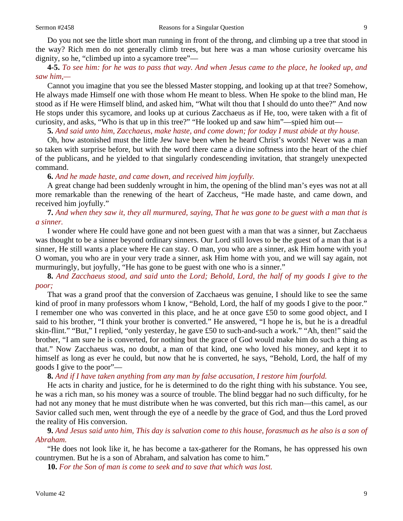Do you not see the little short man running in front of the throng, and climbing up a tree that stood in the way? Rich men do not generally climb trees, but here was a man whose curiosity overcame his dignity, so he, "climbed up into a sycamore tree"—

#### **4-5.** *To see him: for he was to pass that way. And when Jesus came to the place, he looked up, and saw him,—*

Cannot you imagine that you see the blessed Master stopping, and looking up at that tree? Somehow, He always made Himself one with those whom He meant to bless. When He spoke to the blind man, He stood as if He were Himself blind, and asked him, "What wilt thou that I should do unto thee?" And now He stops under this sycamore, and looks up at curious Zacchaeus as if He, too, were taken with a fit of curiosity, and asks, "Who is that up in this tree?" "He looked up and saw him"—spied him out—

**5.** *And said unto him, Zacchaeus, make haste, and come down; for today I must abide at thy house.*

Oh, how astonished must the little Jew have been when he heard Christ's words! Never was a man so taken with surprise before, but with the word there came a divine softness into the heart of the chief of the publicans, and he yielded to that singularly condescending invitation, that strangely unexpected command.

#### **6.** *And he made haste, and came down, and received him joyfully.*

A great change had been suddenly wrought in him, the opening of the blind man's eyes was not at all more remarkable than the renewing of the heart of Zaccheus, "He made haste, and came down, and received him joyfully."

#### **7.** *And when they saw it, they all murmured, saying, That he was gone to be guest with a man that is a sinner.*

I wonder where He could have gone and not been guest with a man that was a sinner, but Zacchaeus was thought to be a sinner beyond ordinary sinners. Our Lord still loves to be the guest of a man that is a sinner, He still wants a place where He can stay. O man, you who are a sinner, ask Him home with you! O woman, you who are in your very trade a sinner, ask Him home with you, and we will say again, not murmuringly, but joyfully, "He has gone to be guest with one who is a sinner."

**8.** *And Zacchaeus stood, and said unto the Lord; Behold, Lord, the half of my goods I give to the poor;*

That was a grand proof that the conversion of Zacchaeus was genuine, I should like to see the same kind of proof in many professors whom I know, "Behold, Lord, the half of my goods I give to the poor." I remember one who was converted in this place, and he at once gave £50 to some good object, and I said to his brother, "I think your brother is converted." He answered, "I hope he is, but he is a dreadful skin-flint." "But," I replied, "only yesterday, he gave £50 to such-and-such a work." "Ah, then!" said the brother, "I am sure he is converted, for nothing but the grace of God would make him do such a thing as that." Now Zacchaeus was, no doubt, a man of that kind, one who loved his money, and kept it to himself as long as ever he could, but now that he is converted, he says, "Behold, Lord, the half of my goods I give to the poor"—

#### **8.** *And if I have taken anything from any man by false accusation, I restore him fourfold.*

He acts in charity and justice, for he is determined to do the right thing with his substance. You see, he was a rich man, so his money was a source of trouble. The blind beggar had no such difficulty, for he had not any money that he must distribute when he was converted, but this rich man—this camel, as our Savior called such men, went through the eye of a needle by the grace of God, and thus the Lord proved the reality of His conversion.

**9.** *And Jesus said unto him, This day is salvation come to this house, forasmuch as he also is a son of Abraham.*

"He does not look like it, he has become a tax-gatherer for the Romans, he has oppressed his own countrymen. But he is a son of Abraham, and salvation has come to him."

**10.** *For the Son of man is come to seek and to save that which was lost.*